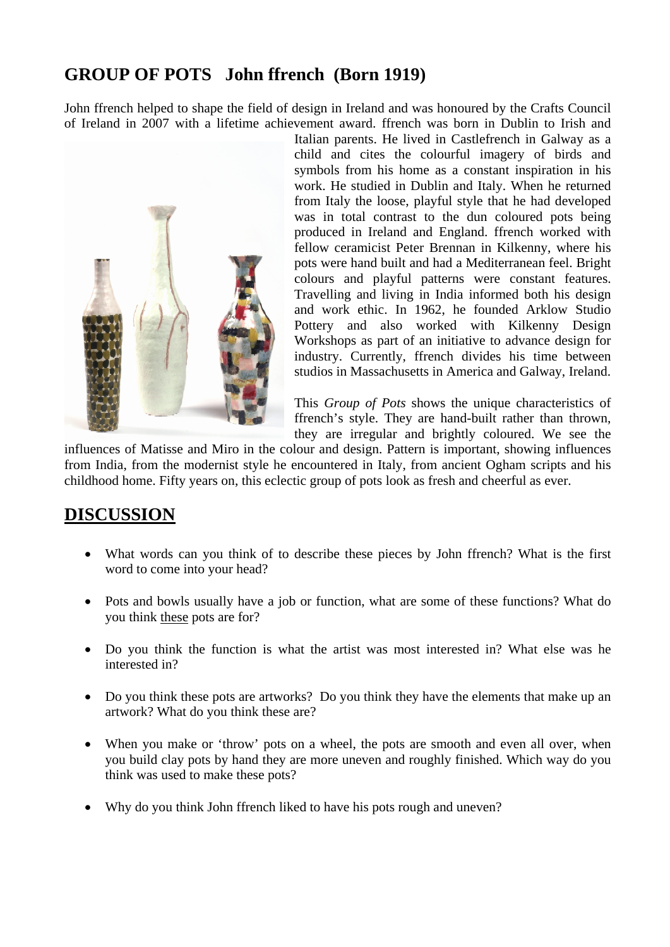# **GROUP OF POTS John ffrench (Born 1919)**

John ffrench helped to shape the field of design in Ireland and was honoured by the Crafts Council of Ireland in 2007 with a lifetime achievement award. ffrench was born in Dublin to Irish and



Italian parents. He lived in Castlefrench in Galway as a child and cites the colourful imagery of birds and symbols from his home as a constant inspiration in his work. He studied in Dublin and Italy. When he returned from Italy the loose, playful style that he had developed was in total contrast to the dun coloured pots being produced in Ireland and England. ffrench worked with fellow ceramicist Peter Brennan in Kilkenny, where his pots were hand built and had a Mediterranean feel. Bright colours and playful patterns were constant features. Travelling and living in India informed both his design and work ethic. In 1962, he founded Arklow Studio Pottery and also worked with Kilkenny Design Workshops as part of an initiative to advance design for industry. Currently, ffrench divides his time between studios in Massachusetts in America and Galway, Ireland.

This *Group of Pots* shows the unique characteristics of ffrench's style. They are hand-built rather than thrown, they are irregular and brightly coloured. We see the

influences of Matisse and Miro in the colour and design. Pattern is important, showing influences from India, from the modernist style he encountered in Italy, from ancient Ogham scripts and his childhood home. Fifty years on, this eclectic group of pots look as fresh and cheerful as ever.

### **DISCUSSION**

- What words can you think of to describe these pieces by John ffrench? What is the first word to come into your head?
- Pots and bowls usually have a job or function, what are some of these functions? What do you think these pots are for?
- Do you think the function is what the artist was most interested in? What else was he interested in?
- Do you think these pots are artworks? Do you think they have the elements that make up an artwork? What do you think these are?
- When you make or 'throw' pots on a wheel, the pots are smooth and even all over, when you build clay pots by hand they are more uneven and roughly finished. Which way do you think was used to make these pots?
- Why do you think John ffrench liked to have his pots rough and uneven?